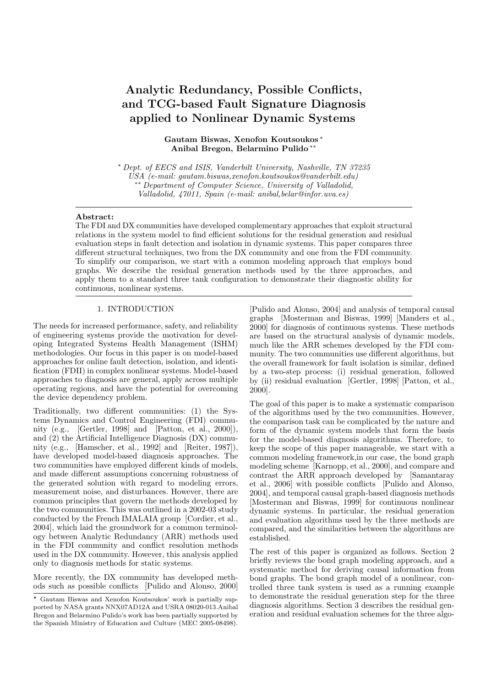# Analytic Redundancy, Possible Conflicts, and TCG-based Fault Signature Diagnosis applied to Nonlinear Dynamic Systems

Gautam Biswas, Xenofon Koutsoukos <sup>∗</sup> Anibal Bregon, Belarmino Pulido ∗∗

<sup>∗</sup> Dept. of EECS and ISIS, Vanderbilt University, Nashville, TN 37235 USA (e-mail: gautam.biswas,xenofon.koutsoukos@vanderbilt.edu) ∗∗ Department of Computer Science, University of Valladolid, Valladolid, 47011, Spain (e-mail: anibal,belar@infor.uva.es)

#### Abstract:

The FDI and DX communities have developed complementary approaches that exploit structural relations in the system model to find efficient solutions for the residual generation and residual evaluation steps in fault detection and isolation in dynamic systems. This paper compares three different structural techniques, two from the DX community and one from the FDI community. To simplify our comparison, we start with a common modeling approach that employs bond graphs. We describe the residual generation methods used by the three approaches, and apply them to a standard three tank configuration to demonstrate their diagnostic ability for continuous, nonlinear systems.

# 1. INTRODUCTION

The needs for increased performance, safety, and reliability of engineering systems provide the motivation for developing Integrated Systems Health Management (ISHM) methodologies. Our focus in this paper is on model-based approaches for online fault detection, isolation, and identification (FDII) in complex nonlinear systems. Model-based approaches to diagnosis are general, apply across multiple operating regions, and have the potential for overcoming the device dependency problem.

Traditionally, two different communities: (1) the Systems Dynamics and Control Engineering (FDI) community (e.g., [Gertler, 1998] and [Patton, et al., 2000]), and (2) the Artificial Intelligence Diagnosis (DX) community (e.g., [Hamscher, et al., 1992] and [Reiter, 1987]), have developed model-based diagnosis approaches. The two communities have employed different kinds of models, and made different assumptions concerning robustness of the generated solution with regard to modeling errors, measurement noise, and disturbances. However, there are common principles that govern the methods developed by the two communities. This was outlined in a 2002-03 study conducted by the French IMALAIA group [Cordier, et al., 2004], which laid the groundwork for a common terminology between Analytic Redundancy (ARR) methods used in the FDI community and conflict resolution methods used in the DX community. However, this analysis applied only to diagnosis methods for static systems.

More recently, the DX community has developed methods such as possible conflicts [Pulido and Alonso, 2000] [Pulido and Alonso, 2004] and analysis of temporal causal graphs [Mosterman and Biswas, 1999] [Manders et al., 2000] for diagnosis of continuous systems. These methods are based on the structural analysis of dynamic models, much like the ARR schemes developed by the FDI community. The two communities use different algorithms, but the overall framework for fault isolation is similar, defined by a two-step process: (i) residual generation, followed by (ii) residual evaluation [Gertler, 1998] [Patton, et al., 2000].

The goal of this paper is to make a systematic comparison of the algorithms used by the two communities. However, the comparison task can be complicated by the nature and form of the dynamic system models that form the basis for the model-based diagnosis algorithms. Therefore, to keep the scope of this paper manageable, we start with a common modeling framework,in our case, the bond graph modeling scheme [Karnopp, et al., 2000], and compare and contrast the ARR approach developed by [Samantaray et al., 2006] with possible conflicts [Pulido and Alonso, 2004], and temporal causal graph-based diagnosis methods [Mosterman and Biswas, 1999] for continuous nonlinear dynamic systems. In particular, the residual generation and evaluation algorithms used by the three methods are compared, and the similarities between the algorithms are established.

The rest of this paper is organized as follows. Section 2 briefly reviews the bond graph modeling approach, and a systematic method for deriving causal information from bond graphs. The bond graph model of a nonlinear, controlled three tank system is used as a running example to demonstrate the residual generation step for the three diagnosis algorithms. Section 3 describes the residual generation and residual evaluation schemes for the three algo-

<sup>?</sup> Gautam Biswas and Xenofon Koutsoukos' work is partially supported by NASA grants NNX07AD12A and USRA 08020-013.Anibal Bregon and Belarmino Pulido's work has been partially supported by the Spanish Ministry of Education and Culture (MEC 2005-08498).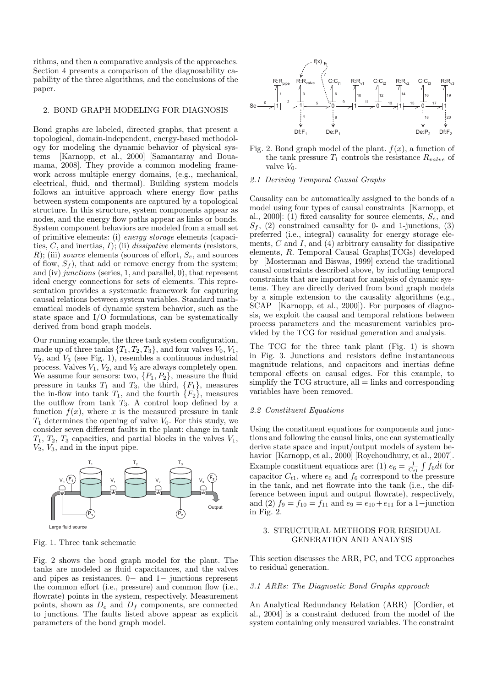rithms, and then a comparative analysis of the approaches. Section 4 presents a comparison of the diagnosability capability of the three algorithms, and the conclusions of the paper.

#### 2. BOND GRAPH MODELING FOR DIAGNOSIS

Bond graphs are labeled, directed graphs, that present a topological, domain-independent, energy-based methodology for modeling the dynamic behavior of physical systems [Karnopp, et al., 2000] [Samantaray and Bouamama, 2008]. They provide a common modeling framework across multiple energy domains, (e.g., mechanical, electrical, fluid, and thermal). Building system models follows an intuitive approach where energy flow paths between system components are captured by a topological structure. In this structure, system components appear as nodes, and the energy flow paths appear as links or bonds. System component behaviors are modeled from a small set of primitive elements: (i) energy storage elements (capacities,  $C$ , and inertias,  $I$ ); (ii) *dissipative* elements (resistors, R); (iii) source elements (sources of effort,  $S_e$ , and sources of flow,  $S_f$ ), that add or remove energy from the system; and (iv) junctions (series, 1, and parallel, 0), that represent ideal energy connections for sets of elements. This representation provides a systematic framework for capturing causal relations between system variables. Standard mathematical models of dynamic system behavior, such as the state space and I/O formulations, can be systematically derived from bond graph models.

Our running example, the three tank system configuration, made up of three tanks  $\{T_1, T_2, T_3\}$ , and four valves  $V_0, V_1$ ,  $V_2$ , and  $V_3$  (see Fig. 1), resembles a continuous industrial process. Valves  $V_1$ ,  $V_2$ , and  $V_3$  are always completely open. We assume four sensors: two,  $\{P_1, P_2\}$ , measure the fluid pressure in tanks  $T_1$  and  $T_3$ , the third,  $\{F_1\}$ , measures the in-flow into tank  $T_1$ , and the fourth  $\{F_2\}$ , measures the outflow from tank  $T_3$ . A control loop defined by a function  $f(x)$ , where x is the measured pressure in tank  $T_1$  determines the opening of valve  $V_0$ . For this study, we consider seven different faults in the plant: change in tank  $T_1, T_2, T_3$  capacities, and partial blocks in the valves  $V_1$ ,  $V_2$ ,  $V_3$ , and in the input pipe.



Fig. 1. Three tank schematic

Fig. 2 shows the bond graph model for the plant. The tanks are modeled as fluid capacitances, and the valves and pipes as resistances. 0− and 1− junctions represent the common effort (i.e., pressure) and common flow (i.e., flowrate) points in the system, respectively. Measurement points, shown as  $D_e$  and  $D_f$  components, are connected to junctions. The faults listed above appear as explicit parameters of the bond graph model.



Fig. 2. Bond graph model of the plant.  $f(x)$ , a function of the tank pressure  $T_1$  controls the resistance  $R_{value}$  of valve  $V_0$ .

## 2.1 Deriving Temporal Causal Graphs

Causality can be automatically assigned to the bonds of a model using four types of causal constraints [Karnopp, et al., 2000]: (1) fixed causality for source elements,  $S_e$ , and  $S_f$ , (2) constrained causality for 0- and 1-junctions, (3) preferred (i.e., integral) causality for energy storage elements,  $C$  and  $I$ , and  $(4)$  arbitrary causality for dissipative elements, R. Temporal Causal Graphs(TCGs) developed by [Mosterman and Biswas, 1999] extend the traditional causal constraints described above, by including temporal constraints that are important for analysis of dynamic systems. They are directly derived from bond graph models by a simple extension to the causality algorithms (e.g., SCAP [Karnopp, et al., 2000]). For purposes of diagnosis, we exploit the causal and temporal relations between process parameters and the measurement variables provided by the TCG for residual generation and analysis.

The TCG for the three tank plant (Fig. 1) is shown in Fig. 3. Junctions and resistors define instantaneous magnitude relations, and capacitors and inertias define temporal effects on causal edges. For this example, to simplify the TCG structure, all  $=$  links and corresponding variables have been removed.

## 2.2 Constituent Equations

Using the constituent equations for components and junctions and following the causal links, one can systematically derive state space and input/output models of system behavior [Karnopp, et al., 2000] [Roychoudhury, et al., 2007]. Example constituent equations are: (1)  $e_6 = \frac{1}{C_{t1}} \int f_6 dt$  for capacitor  $C_{t1}$ , where  $e_6$  and  $f_6$  correspond to the pressure in the tank, and net flowrate into the tank (i.e., the difference between input and output flowrate), respectively, and (2)  $f_9 = f_{10} = f_{11}$  and  $e_9 = e_{10} + e_{11}$  for a 1-junction in Fig. 2.

# 3. STRUCTURAL METHODS FOR RESIDUAL GENERATION AND ANALYSIS

This section discusses the ARR, PC, and TCG approaches to residual generation.

## 3.1 ARRs: The Diagnostic Bond Graphs approach

An Analytical Redundancy Relation (ARR) [Cordier, et al., 2004] is a constraint deduced from the model of the system containing only measured variables. The constraint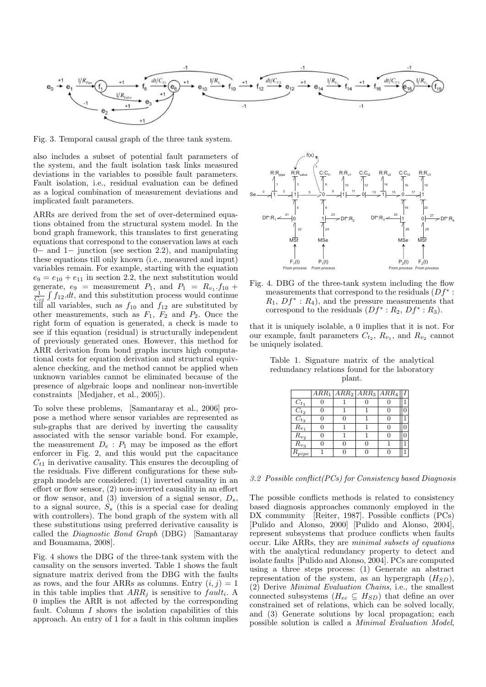

Fig. 3. Temporal causal graph of the three tank system.

also includes a subset of potential fault parameters of the system, and the fault isolation task links measured deviations in the variables to possible fault parameters. Fault isolation, i.e., residual evaluation can be defined as a logical combination of measurement deviations and implicated fault parameters.

ARRs are derived from the set of over-determined equations obtained from the structural system model. In the bond graph framework, this translates to first generating equations that correspond to the conservation laws at each 0− and 1− junction (see section 2.2), and manipulating these equations till only known (i.e., measured and input) variables remain. For example, starting with the equation  $e_9 = e_{10} + e_{11}$  in section 2.2, the next substitution would generate,  $e_9$  = measurement  $P_1$ , and  $P_1 = R_{v_1}.f_{10} + \frac{1}{C_{t2}} \int f_{12}.dt$ , and this substitution process would continue till all variables, such as  $f_{10}$  and  $f_{12}$  are substituted by other measurements, such as  $F_1$ ,  $F_2$  and  $P_2$ . Once the right form of equation is generated, a check is made to see if this equation (residual) is structurally independent of previously generated ones. However, this method for ARR derivation from bond graphs incurs high computational costs for equation derivation and structural equivalence checking, and the method cannot be applied when unknown variables cannot be eliminated because of the presence of algebraic loops and nonlinear non-invertible constraints [Medjaher, et al., 2005]).

To solve these problems, [Samantaray et al., 2006] propose a method where sensor variables are represented as sub-graphs that are derived by inverting the causality associated with the sensor variable bond. For example, the measurement  $D_e$ :  $P_1$  may be imposed as the effort enforcer in Fig. 2, and this would put the capacitance  $C_{t1}$  in derivative causality. This ensures the decoupling of the residuals. Five different configurations for these subgraph models are considered: (1) inverted causality in an effort or flow sensor, (2) non-inverted causality in an effort or flow sensor, and  $(3)$  inversion of a signal sensor,  $D_s$ , to a signal source,  $S<sub>s</sub>$  (this is a special case for dealing with controllers). The bond graph of the system with all these substitutions using preferred derivative causality is called the Diagnostic Bond Graph (DBG) [Samantaray and Bouamama, 2008].

Fig. 4 shows the DBG of the three-tank system with the causality on the sensors inverted. Table 1 shows the fault signature matrix derived from the DBG with the faults as rows, and the four ARRs as columns. Entry  $(i, j) = 1$ in this table implies that  $ARR_j$  is sensitive to  $fault_i$ . A 0 implies the ARR is not affected by the corresponding fault. Column I shows the isolation capabilities of this approach. An entry of 1 for a fault in this column implies



Fig. 4. DBG of the three-tank system including the flow measurements that correspond to the residuals  $(Df^* :$  $R_1, Df^* : R_4$ , and the pressure measurements that correspond to the residuals  $(Df^* : R_2, Df^* : R_3)$ .

that it is uniquely isolable, a 0 implies that it is not. For our example, fault parameters  $C_{t_2}$ ,  $R_{v_1}$ , and  $R_{v_2}$  cannot be uniquely isolated.

|                        |   |   |   | $ARR_1  ARR_2  ARR_3  ARR_4 $ |  |
|------------------------|---|---|---|-------------------------------|--|
| $C_{t_1}$              |   |   |   |                               |  |
| $C_{t_2}$              |   |   |   |                               |  |
| $\overline{C_{t}}_{3}$ | O |   |   |                               |  |
| $R_{v_1}$              | 0 |   |   |                               |  |
| $R_{v_2}$              | O |   |   |                               |  |
| $\overline{R}_{v_3}$   | 0 | 0 | O |                               |  |
| $R_{pipe}$             |   |   |   |                               |  |

Table 1. Signature matrix of the analytical redundancy relations found for the laboratory plant.

3.2 Possible conflict(PCs) for Consistency based Diagnosis

The possible conflicts methods is related to consistency based diagnosis approaches commonly employed in the DX community [Reiter, 1987]. Possible conflicts (PCs) [Pulido and Alonso, 2000] [Pulido and Alonso, 2004], represent subsystems that produce conflicts when faults occur. Like ARRs, they are minimal subsets of equations with the analytical redundancy property to detect and isolate faults [Pulido and Alonso, 2004]. PCs are computed using a three steps process: (1) Generate an abstract representation of the system, as an hypergraph  $(H_{SD})$ , (2) Derive Minimal Evaluation Chains, i.e., the smallest connected subsystems  $(H_{ec} \subseteq H_{SD})$  that define an over constrained set of relations, which can be solved locally, and (3) Generate solutions by local propagation; each possible solution is called a Minimal Evaluation Model,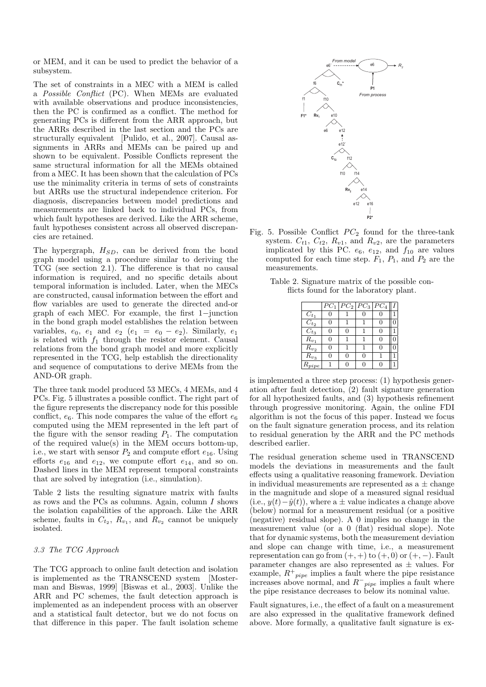or MEM, and it can be used to predict the behavior of a subsystem.

The set of constraints in a MEC with a MEM is called a Possible Conflict (PC). When MEMs are evaluated with available observations and produce inconsistencies, then the PC is confirmed as a conflict. The method for generating PCs is different from the ARR approach, but the ARRs described in the last section and the PCs are structurally equivalent [Pulido, et al., 2007]. Causal assignments in ARRs and MEMs can be paired up and shown to be equivalent. Possible Conflicts represent the same structural information for all the MEMs obtained from a MEC. It has been shown that the calculation of PCs use the minimality criteria in terms of sets of constraints but ARRs use the structural independence criterion. For diagnosis, discrepancies between model predictions and measurements are linked back to individual PCs, from which fault hypotheses are derived. Like the ARR scheme, fault hypotheses consistent across all observed discrepancies are retained.

The hypergraph,  $H_{SD}$ , can be derived from the bond graph model using a procedure similar to deriving the TCG (see section 2.1). The difference is that no causal information is required, and no specific details about temporal information is included. Later, when the MECs are constructed, causal information between the effort and flow variables are used to generate the directed and-or graph of each MEC. For example, the first 1−junction in the bond graph model establishes the relation between variables,  $e_0$ ,  $e_1$  and  $e_2$   $(e_1 = e_0 - e_2)$ . Similarly,  $e_1$ is related with  $f_1$  through the resistor element. Causal relations from the bond graph model and more explicitly represented in the TCG, help establish the directionality and sequence of computations to derive MEMs from the AND-OR graph.

The three tank model produced 53 MECs, 4 MEMs, and 4 PCs. Fig. 5 illustrates a possible conflict. The right part of the figure represents the discrepancy node for this possible conflict,  $e_6$ . This node compares the value of the effort  $e_6$ computed using the MEM represented in the left part of the figure with the sensor reading  $P_1$ . The computation of the required value(s) in the MEM occurs bottom-up, i.e., we start with sensor  $P_2$  and compute effort  $e_{16}$ . Using efforts  $e_{16}$  and  $e_{12}$ , we compute effort  $e_{14}$ , and so on. Dashed lines in the MEM represent temporal constraints that are solved by integration (i.e., simulation).

Table 2 lists the resulting signature matrix with faults as rows and the PCs as columns. Again, column  $I$  shows the isolation capabilities of the approach. Like the ARR scheme, faults in  $C_{t_2}$ ,  $R_{v_1}$ , and  $R_{v_2}$  cannot be uniquely isolated.

# 3.3 The TCG Approach

The TCG approach to online fault detection and isolation is implemented as the TRANSCEND system [Mosterman and Biswas, 1999] [Biswas et al., 2003]. Unlike the ARR and PC schemes, the fault detection approach is implemented as an independent process with an observer and a statistical fault detector, but we do not focus on that difference in this paper. The fault isolation scheme



- Fig. 5. Possible Conflict  $PC_2$  found for the three-tank system.  $C_{t1}$ ,  $C_{t2}$ ,  $R_{v1}$ , and  $R_{v2}$ , are the parameters implicated by this PC.  $e_6$ ,  $e_{12}$ , and  $f_{10}$  are values computed for each time step.  $F_1$ ,  $P_1$ , and  $P_2$  are the measurements.
	- Table 2. Signature matrix of the possible conflicts found for the laboratory plant.

|                      | $PC_1$ |   | $PC_2$ $PC_3$ $PC_4$ |   |  |
|----------------------|--------|---|----------------------|---|--|
| $C_{t_1}$            | 0      |   | 0                    | 0 |  |
| $\overline{C}_{t_2}$ | 0      | 1 |                      | 0 |  |
| $C_{t_3}$            | 0      | 0 |                      | 0 |  |
| $R_{v_1}$            | 0      | 1 |                      | O |  |
| $R_{v_2}$            | 0      | 1 | 1                    | O |  |
| $R_{v_3}$            | 0      | 0 | 0                    |   |  |
| $R_{pipe}$           | 1      | 0 | O                    | 0 |  |

is implemented a three step process: (1) hypothesis generation after fault detection, (2) fault signature generation for all hypothesized faults, and (3) hypothesis refinement through progressive monitoring. Again, the online FDI algorithm is not the focus of this paper. Instead we focus on the fault signature generation process, and its relation to residual generation by the ARR and the PC methods described earlier.

The residual generation scheme used in TRANSCEND models the deviations in measurements and the fault effects using a qualitative reasoning framework. Deviation in individual measurements are represented as  $a \pm$  change in the magnitude and slope of a measured signal residual (i.e.,  $y(t)-\hat{y}(t)$ ), where a  $\pm$  value indicates a change above (below) normal for a measurement residual (or a positive (negative) residual slope). A 0 implies no change in the measurement value (or a 0 (flat) residual slope). Note that for dynamic systems, both the measurement deviation and slope can change with time, i.e., a measurement representation can go from  $(+, +)$  to  $(+, 0)$  or  $(+, -)$ . Fault parameter changes are also represented as  $\pm$  values. For example,  $R^+_{\ \ \ \text{pipe}}$  implies a fault where the pipe resistance increases above normal, and  $R^-_{pipe}$  implies a fault where the pipe resistance decreases to below its nominal value.

Fault signatures, i.e., the effect of a fault on a measurement are also expressed in the qualitative framework defined above. More formally, a qualitative fault signature is ex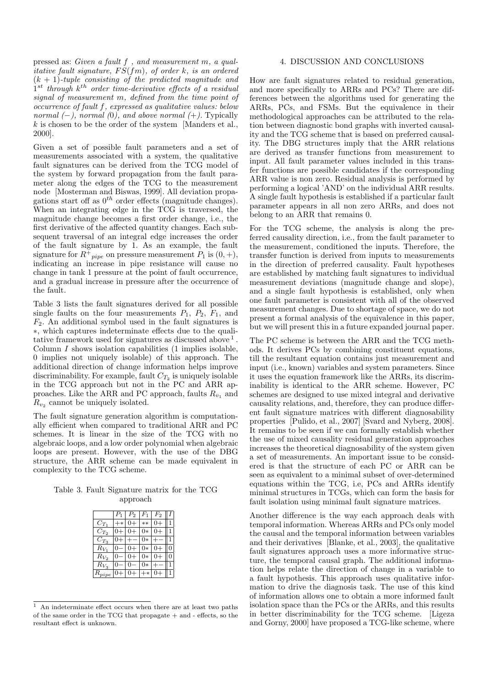pressed as: Given a fault f , and measurement m, a qualitative fault signature,  $FS(fm)$ , of order k, is an ordered  $(k + 1)$ -tuple consisting of the predicted magnitude and  $1^{st}$  through  $k^{th}$  order time-derivative effects of a residual signal of measurement m, defined from the time point of occurrence of fault f, expressed as qualitative values: below normal  $(-)$ , normal  $(0)$ , and above normal  $(+)$ . Typically k is chosen to be the order of the system [Manders et al., 2000].

Given a set of possible fault parameters and a set of measurements associated with a system, the qualitative fault signatures can be derived from the TCG model of the system by forward propagation from the fault parameter along the edges of the TCG to the measurement node [Mosterman and Biswas, 1999]. All deviation propagations start off as  $0^{th}$  order effects (magnitude changes). When an integrating edge in the TCG is traversed, the magnitude change becomes a first order change, i.e., the first derivative of the affected quantity changes. Each subsequent traversal of an integral edge increases the order of the fault signature by 1. As an example, the fault signature for  $R^{\pm}_{\ \ pipe}$  on pressure measurement  $P_1$  is  $(0, +)$ , indicating an increase in pipe resistance will cause no change in tank 1 pressure at the point of fault occurrence, and a gradual increase in pressure after the occurrence of the fault.

Table 3 lists the fault signatures derived for all possible single faults on the four measurements  $P_1$ ,  $P_2$ ,  $F_1$ , and  $F_2$ . An additional symbol used in the fault signatures is ∗, which captures indeterminate effects due to the qualitative framework used for signatures as discussed above <sup>1</sup>. Column  $I$  shows isolation capabilities  $(1 \text{ implies} isodable,$ 0 implies not uniquely isolable) of this approach. The additional direction of change information helps improve discriminability. For example, fault  $C_{T_2}$  is uniquely isolable in the TCG approach but not in the PC and ARR approaches. Like the ARR and PC approach, faults  $R_{v_1}$  and  $R_{v_2}$  cannot be uniquely isolated.

The fault signature generation algorithm is computationally efficient when compared to traditional ARR and PC schemes. It is linear in the size of the TCG with no algebraic loops, and a low order polynomial when algebraic loops are present. However, with the use of the DBG structure, the ARR scheme can be made equivalent in complexity to the TCG scheme.

Table 3. Fault Signature matrix for the TCG approach

|                     | $P_1$ | $P_2$ | ŀ٦   | $F_2$ |  |
|---------------------|-------|-------|------|-------|--|
| $C_{T_1}$           | ∗     |       | $**$ |       |  |
| $\mathcal{C}_{T_2}$ |       |       | 0*   |       |  |
| $C_{T_3}$           |       |       | $0*$ |       |  |
| $R_{V_1}$           |       |       | 0*   |       |  |
| $R_{V_2}$           |       |       | 0*   |       |  |
| $R_{V_3}$           |       |       | 0*   |       |  |
| $\overline{p}$      |       |       |      |       |  |

 $<sup>1</sup>$  An indeterminate effect occurs when there are at least two paths</sup> of the same order in the TCG that propagate + and - effects, so the resultant effect is unknown.

## 4. DISCUSSION AND CONCLUSIONS

How are fault signatures related to residual generation, and more specifically to ARRs and PCs? There are differences between the algorithms used for generating the ARRs, PCs, and FSMs. But the equivalence in their methodological approaches can be attributed to the relation between diagnostic bond graphs with inverted causality and the TCG scheme that is based on preferred causality. The DBG structures imply that the ARR relations are derived as transfer functions from measurement to input. All fault parameter values included in this transfer functions are possible candidates if the corresponding ARR value is non zero. Residual analysis is performed by performing a logical 'AND' on the individual ARR results. A single fault hypothesis is established if a particular fault parameter appears in all non zero ARRs, and does not belong to an ARR that remains 0.

For the TCG scheme, the analysis is along the preferred causality direction, i.e., from the fault parameter to the measurement, conditioned the inputs. Therefore, the transfer function is derived from inputs to measurements in the direction of preferred causality. Fault hypotheses are established by matching fault signatures to individual measurement deviations (magnitude change and slope), and a single fault hypothesis is established, only when one fault parameter is consistent with all of the observed measurement changes. Due to shortage of space, we do not present a formal analysis of the equivalence in this paper, but we will present this in a future expanded journal paper.

The PC scheme is between the ARR and the TCG methods. It derives PCs by combining constituent equations, till the resultant equation contains just measurement and input (i.e., known) variables and system parameters. Since it uses the equation framework like the ARRs, its discriminability is identical to the ARR scheme. However, PC schemes are designed to use mixed integral and derivative causality relations, and, therefore, they can produce different fault signature matrices with different diagnosability properties [Pulido, et al., 2007] [Svard and Nyberg, 2008]. It remains to be seen if we can formally establish whether the use of mixed causality residual generation approaches increases the theoretical diagnosability of the system given a set of measurements. An important issue to be considered is that the structure of each PC or ARR can be seen as equivalent to a minimal subset of over-determined equations within the TCG, i.e, PCs and ARRs identify minimal structures in TCGs, which can form the basis for fault isolation using minimal fault signature matrices.

Another difference is the way each approach deals with temporal information. Whereas ARRs and PCs only model the causal and the temporal information between variables and their derivatives [Blanke, et al., 2003], the qualitative fault signatures approach uses a more informative structure, the temporal causal graph. The additional information helps relate the direction of change in a variable to a fault hypothesis. This approach uses qualitative information to drive the diagnosis task. The use of this kind of information allows one to obtain a more informed fault isolation space than the PCs or the ARRs, and this results in better discriminability for the TCG scheme. [Ligeza and Gorny, 2000] have proposed a TCG-like scheme, where